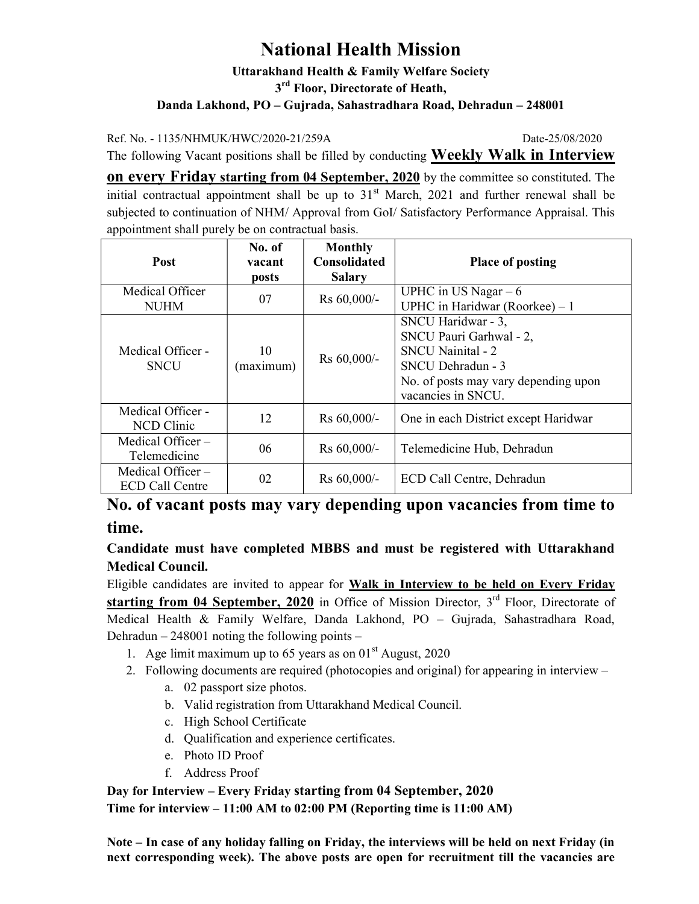## National Health Mission

Uttarakhand Health & Family Welfare Society 3<sup>rd</sup> Floor, Directorate of Heath, Danda Lakhond, PO – Gujrada, Sahastradhara Road, Dehradun – 248001

Ref. No. - 1135/NHMUK/HWC/2020-21/259A Date-25/08/2020

The following Vacant positions shall be filled by conducting **Weekly Walk in Interview** 

on every Friday starting from 04 September, 2020 by the committee so constituted. The initial contractual appointment shall be up to  $31<sup>st</sup>$  March, 2021 and further renewal shall be subjected to continuation of NHM/ Approval from GoI/ Satisfactory Performance Appraisal. This appointment shall purely be on contractual basis.

| <b>Post</b>                                   | No. of<br>vacant | <b>Monthly</b><br><b>Consolidated</b> | <b>Place of posting</b>                                                                                                                                      |
|-----------------------------------------------|------------------|---------------------------------------|--------------------------------------------------------------------------------------------------------------------------------------------------------------|
|                                               | posts            | <b>Salary</b>                         |                                                                                                                                                              |
| Medical Officer<br><b>NUHM</b>                | 07               | Rs 60,000/-                           | UPHC in US Nagar $-6$<br>UPHC in Haridwar (Roorkee) $-1$                                                                                                     |
| Medical Officer -<br><b>SNCU</b>              | 10<br>(maximum)  | Rs 60,000/-                           | SNCU Haridwar - 3,<br>SNCU Pauri Garhwal - 2,<br><b>SNCU</b> Nainital - 2<br>SNCU Dehradun - 3<br>No. of posts may vary depending upon<br>vacancies in SNCU. |
| Medical Officer -<br><b>NCD</b> Clinic        | 12               | $Rs 60,000/-$                         | One in each District except Haridwar                                                                                                                         |
| Medical Officer-<br>Telemedicine              | 06               | Rs 60,000/-                           | Telemedicine Hub, Dehradun                                                                                                                                   |
| Medical Officer $-$<br><b>ECD Call Centre</b> | 02               | Rs 60,000/-                           | ECD Call Centre, Dehradun                                                                                                                                    |

## No. of vacant posts may vary depending upon vacancies from time to time.

## Candidate must have completed MBBS and must be registered with Uttarakhand Medical Council.

Eligible candidates are invited to appear for Walk in Interview to be held on Every Friday starting from 04 September, 2020 in Office of Mission Director,  $3<sup>rd</sup>$  Floor, Directorate of Medical Health & Family Welfare, Danda Lakhond, PO – Gujrada, Sahastradhara Road, Dehradun – 248001 noting the following points –

- 1. Age limit maximum up to 65 years as on  $01<sup>st</sup>$  August, 2020
- 2. Following documents are required (photocopies and original) for appearing in interview
	- a. 02 passport size photos.
	- b. Valid registration from Uttarakhand Medical Council.
	- c. High School Certificate
	- d. Qualification and experience certificates.
	- e. Photo ID Proof
	- f. Address Proof

Day for Interview – Every Friday starting from 04 September, 2020 Time for interview – 11:00 AM to 02:00 PM (Reporting time is 11:00 AM)

Note – In case of any holiday falling on Friday, the interviews will be held on next Friday (in next corresponding week). The above posts are open for recruitment till the vacancies are